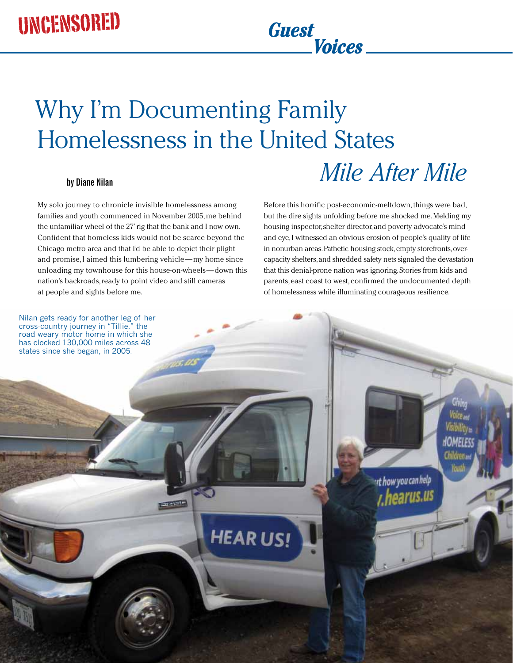# Why I'm Documenting Family Homelessness in the United States

# **by Diane Nilan** *Mile After Mile*

My solo journey to chronicle invisible homelessness among families and youth commenced in November 2005, me behind the unfamiliar wheel of the 27' rig that the bank and I now own. Confident that homeless kids would not be scarce beyond the Chicago metro area and that I'd be able to depict their plight and promise, I aimed this lumbering vehicle—my home since unloading my townhouse for this house-on-wheels—down this nation's backroads, ready to point video and still cameras at people and sights before me.

Before this horrific post-economic-meltdown, things were bad, but the dire sights unfolding before me shocked me. Melding my housing inspector, shelter director, and poverty advocate's mind and eye, I witnessed an obvious erosion of people's quality of life in nonurban areas. Pathetic housing stock, empty storefronts, overcapacity shelters, and shredded safety nets signaled the devastation that this denial-prone nation was ignoring. Stories from kids and parents, east coast to west, confirmed the undocumented depth of homelessness while illuminating courageous resilience.

*Guest*<br>Voices

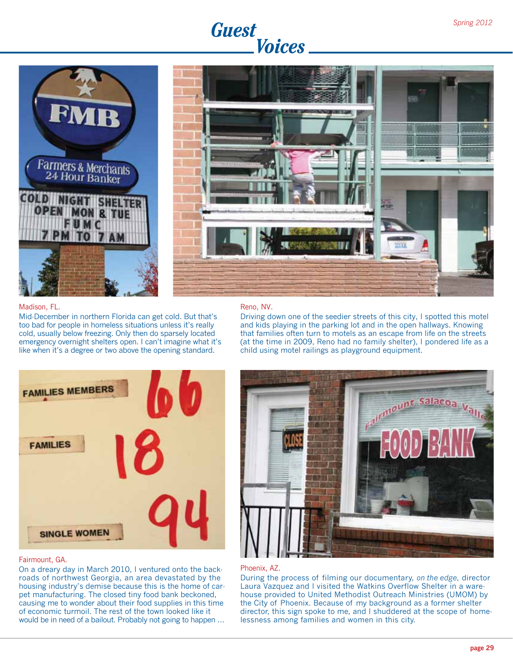





#### Madison, FL.

Mid-December in northern Florida can get cold. But that's too bad for people in homeless situations unless it's really cold, usually below freezing. Only then do sparsely located emergency overnight shelters open. I can't imagine what it's like when it's a degree or two above the opening standard.

#### Reno, NV.

Driving down one of the seedier streets of this city, I spotted this motel and kids playing in the parking lot and in the open hallways. Knowing that families often turn to motels as an escape from life on the streets (at the time in 2009, Reno had no family shelter), I pondered life as a child using motel railings as playground equipment.





#### Fairmount, GA.

On a dreary day in March 2010, I ventured onto the backroads of northwest Georgia, an area devastated by the housing industry's demise because this is the home of carpet manufacturing. The closed tiny food bank beckoned, causing me to wonder about their food supplies in this time of economic turmoil. The rest of the town looked like it would be in need of a bailout. Probably not going to happen …

#### Phoenix, AZ.

During the process of filming our documentary, *on the edge,* director Laura Vazquez and I visited the Watkins Overflow Shelter in a warehouse provided to United Methodist Outreach Ministries (UMOM) by the City of Phoenix. Because of my background as a former shelter director, this sign spoke to me, and I shuddered at the scope of homelessness among families and women in this city.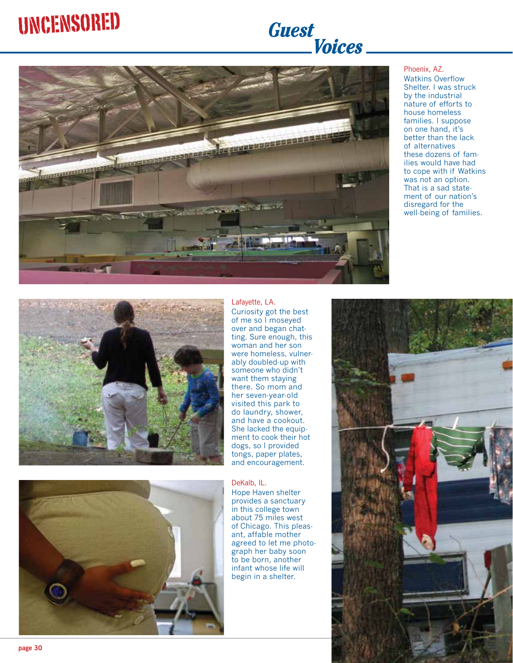# UNCENSORED *Guest*

# *Guest*<br>Voices



#### Phoenix, AZ.

Watkins Overflow Shelter. I was struck by the industrial nature of efforts to house homeless families. I suppose on one hand, it's better than the lack of alternatives these dozens of families would have had to cope with if Watkins was not an option. That is a sad statement of our nation's disregard for the well-being of families.





#### Lafayette, LA.

Curiosity got the best of me so I moseyed over and began chatting. Sure enough, this woman and her son were homeless, vulnerably doubled-up with someone who didn't want them staying there. So mom and her seven-year-old visited this park to do laundry, shower, and have a cookout. She lacked the equipment to cook their hot dogs, so I provided tongs, paper plates, and encouragement.

#### DeKalb, IL.

Hope Haven shelter provides a sanctuary in this college town about 75 miles west of Chicago. This pleasant, affable mother agreed to let me photograph her baby soon to be born, another infant whose life will begin in a shelter.

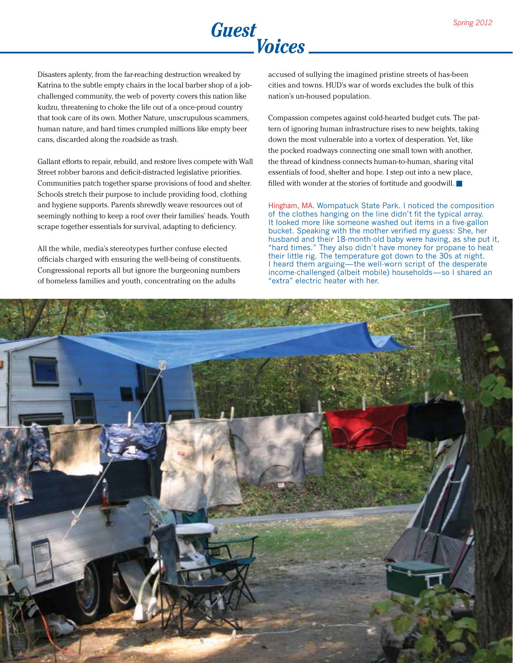

Disasters aplenty, from the far-reaching destruction wreaked by Katrina to the subtle empty chairs in the local barber shop of a jobchallenged community, the web of poverty covers this nation like kudzu, threatening to choke the life out of a once-proud country that took care of its own. Mother Nature, unscrupulous scammers, human nature, and hard times crumpled millions like empty beer cans, discarded along the roadside as trash.

Gallant efforts to repair, rebuild, and restore lives compete with Wall Street robber barons and deficit-distracted legislative priorities. Communities patch together sparse provisions of food and shelter. Schools stretch their purpose to include providing food, clothing and hygiene supports. Parents shrewdly weave resources out of seemingly nothing to keep a roof over their families' heads. Youth scrape together essentials for survival, adapting to deficiency.

All the while, media's stereotypes further confuse elected officials charged with ensuring the well-being of constituents. Congressional reports all but ignore the burgeoning numbers of homeless families and youth, concentrating on the adults

accused of sullying the imagined pristine streets of has-been cities and towns. HUD's war of words excludes the bulk of this nation's un-housed population.

Compassion competes against cold-hearted budget cuts. The pattern of ignoring human infrastructure rises to new heights, taking down the most vulnerable into a vortex of desperation. Yet, like the pocked roadways connecting one small town with another, the thread of kindness connects human-to-human, sharing vital essentials of food, shelter and hope. I step out into a new place, filled with wonder at the stories of fortitude and goodwill. ■

Hingham, MA. Wompatuck State Park. I noticed the composition of the clothes hanging on the line didn't fit the typical array. It looked more like someone washed out items in a five-gallon bucket. Speaking with the mother verified my guess: She, her husband and their 18-month-old baby were having, as she put it, "hard times." They also didn't have money for propane to heat their little rig. The temperature got down to the 30s at night. I heard them arguing—the well-worn script of the desperate income-challenged (albeit mobile) households—so I shared an "extra" electric heater with her.

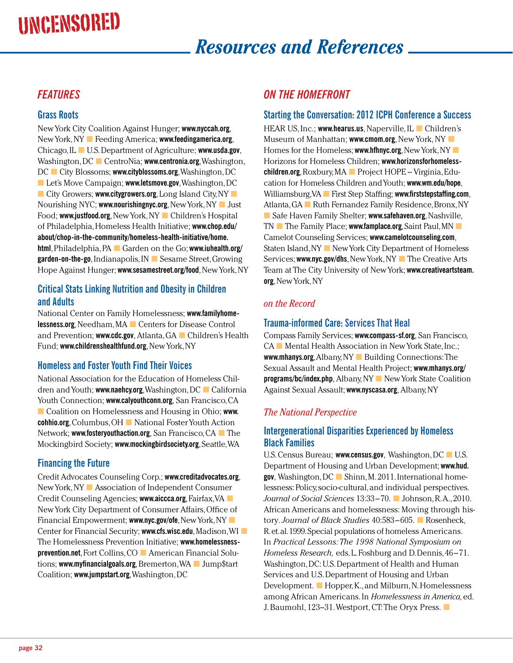# Uncensored

# *Resources and References*

# *Features*

#### **Grass Roots**

New York City Coalition Against Hunger; **www.nyccah.org**, New York, NY ■ Feeding America; **www.feedingamerica.org**, Chicago, IL ■ U.S. Department of Agriculture; **www.usda.gov**, Washington, DC ■ CentroNia; **www.centronia.org**, Washington, DC ■ City Blossoms; **www.cityblossoms.org**, Washington, DC ■ Let's Move Campaign; **www.letsmove.gov**, Washington, DC ■ City Growers; www.citygrowers.org, Long Island City, NY Nourishing NYC; **www.nourishingnyc.org**, New York, NY ■ Just Food; **www.justfood.org**, New York, NY ■ Children's Hospital of Philadelphia, Homeless Health Initiative; **www.chop.edu/ about/chop-in-the-community/homeless-health-initiative/home. html**, Philadelphia, PA ■ Garden on the Go; **www.iuhealth.org/ garden-on-the-go**, Indianapolis, IN ■ Sesame Street, Growing Hope Against Hunger; **www.sesamestreet.org/food**, New York, NY

## **Critical Stats Linking Nutrition and Obesity in Children and Adults**

National Center on Family Homelessness; **www.familyhomelessness.org**, Needham, MA ■ Centers for Disease Control and Prevention; **www.cdc.gov**, Atlanta, GA ■ Children's Health Fund; **www.childrenshealthfund.org**, New York, NY

### **Homeless and Foster Youth Find Their Voices**

National Association for the Education of Homeless Children and Youth; **www.naehcy.org**, Washington, DC ■ California Youth Connection; **www.calyouthconn.org**, San Francisco, CA ■ Coalition on Homelessness and Housing in Ohio; **www. cohhio.org**, Columbus, OH ■ National Foster Youth Action Network; **www.fosteryouthaction.org**, San Francisco, CA ■ The Mockingbird Society; **www.mockingbirdsociety.org**, Seattle, WA

## **Financing the Future**

Credit Advocates Counseling Corp.; **www.creditadvocates.org**, New York, NY ■ Association of Independent Consumer Credit Counseling Agencies; **www.aiccca.org**, Fairfax, VA ■ New York City Department of Consumer Affairs, Office of Financial Empowerment; **www.nyc.gov/ofe**, New York, NY ■ Center for Financial Security; **www.cfs.wisc.edu**, Madison, WI ■ The Homelessness Prevention Initiative; **www.homelessnessprevention.net**, Fort Collins, CO ■ American Financial Solutions; **www.myfinancialgoals.org**, Bremerton, WA ■ Jump\$tart Coalition; **www.jumpstart.org**, Washington, DC

# *on the Homefront*

## **Starting the Conversation: 2012 ICPH Conference a Success**

HEAR US, Inc.; **www.hearus.us**, Naperville, IL ■ Children's Museum of Manhattan; **www.cmom.org**, New York, NY ■ Homes for the Homeless; **www.hfhnyc.org**, New York, NY ■ Horizons for Homeless Children; **www.horizonsforhomelesschildren.org**, Roxbury, MA ■ Project HOPE – Virginia, Education for Homeless Children and Youth; **www.wm.edu/hope**, Williamsburg, VA ■ First Step Staffing; **www.firststepstaffing.com**, Atlanta, GA ■ Ruth Fernandez Family Residence, Bronx, NY ■ Safe Haven Family Shelter; www.safehaven.org, Nashville, TN ■ The Family Place; **www.famplace.org**, Saint Paul, MN ■ Camelot Counseling Services; **www.camelotcounseling.com**, Staten Island, NY ■ New York City Department of Homeless Services; **www.nyc.gov/dhs**, New York, NY ■ The Creative Arts Team at The City University of New York; **www.creativeartsteam. org**, New York, NY

## *on the Record*

## **Trauma-informed Care: Services That Heal**

Compass Family Services; **www.compass-sf.org**, San Francisco, CA ■ Mental Health Association in New York State, Inc.; **www.mhanys.org**, Albany, NY ■ Building Connections: The Sexual Assault and Mental Health Project; **www.mhanys.org/ programs/bc/index.php**, Albany, NY ■ New York State Coalition Against Sexual Assault; **www.nyscasa.org**, Albany, NY

### *The National Perspective*

#### **Intergenerational Disparities Experienced by Homeless Black Families**

U.S. Census Bureau; **www.census.gov**, Washington, DC ■ U.S. Department of Housing and Urban Development; **www.hud. gov**, Washington, DC ■ Shinn, M. 2011. International homelessness: Policy, socio-cultural, and individual perspectives. *Journal of Social Sciences* 13:33–70. ■ Johnson, R. A., 2010. African Americans and homelessness: Moving through history*. Journal of Black Studies* 40:583–605. ■ Rosenheck, R. et. al. 1999. Special populations of homeless Americans. In *Practical Lessons: The 1998 National Symposium on Homeless Research,* eds. L. Foshburg and D. Dennis, 46–71. Washington, DC: U.S. Department of Health and Human Services and U.S. Department of Housing and Urban Development. ■ Hopper, K., and Milburn, N. Homelessness among African Americans. In *Homelessness in America,* ed. J. Baumohl, 123–31. Westport, CT: The Oryx Press. ■